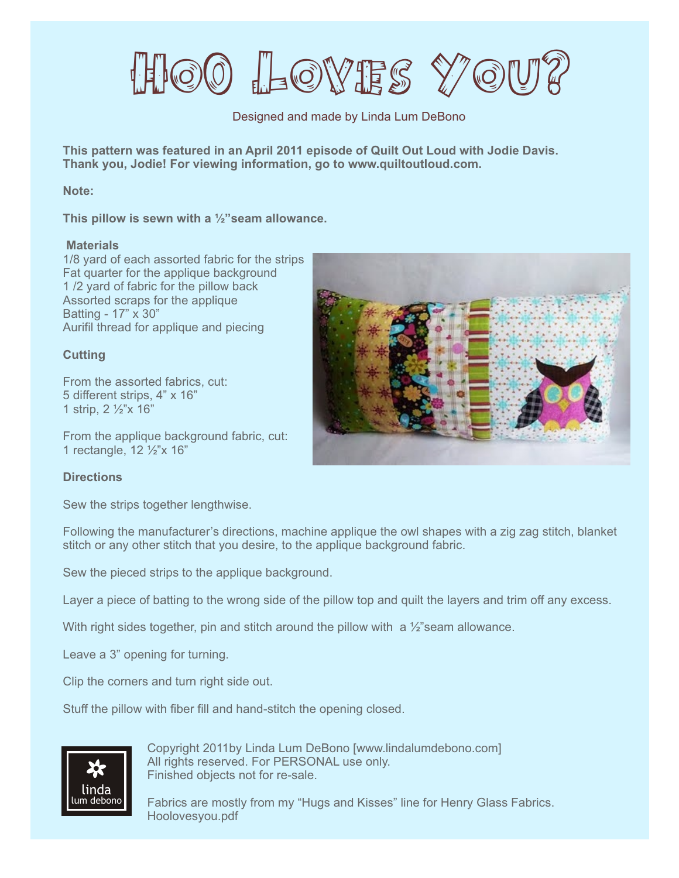$\delta$  Lovis  $\%$  )

# Designed and made by Linda Lum DeBono

**This pattern was featured in an April 2011 episode of Quilt Out Loud with Jodie Davis. Thank you, Jodie! For viewing information, go to www.quiltoutloud.com.**

#### **Note:**

**This pillow is sewn with a ½"seam allowance.**

#### **Materials**

1/8 yard of each assorted fabric for the strips Fat quarter for the applique background 1 /2 yard of fabric for the pillow back Assorted scraps for the applique Batting - 17" x 30" Aurifil thread for applique and piecing

## **Cutting**

From the assorted fabrics, cut: 5 different strips, 4" x 16" 1 strip, 2 ½"x 16"

From the applique background fabric, cut: 1 rectangle, 12 ½"x 16"

### **Directions**

Sew the strips together lengthwise.

Following the manufacturer's directions, machine applique the owl shapes with a zig zag stitch, blanket stitch or any other stitch that you desire, to the applique background fabric.

Sew the pieced strips to the applique background.

Layer a piece of batting to the wrong side of the pillow top and quilt the layers and trim off any excess.

With right sides together, pin and stitch around the pillow with a ½"seam allowance.

Leave a 3" opening for turning.

Clip the corners and turn right side out.

Stuff the pillow with fiber fill and hand-stitch the opening closed.



Copyright 2011by Linda Lum DeBono [www.lindalumdebono.com] All rights reserved. For PERSONAL use only. Finished objects not for re-sale.

Fabrics are mostly from my "Hugs and Kisses" line for Henry Glass Fabrics. Hoolovesyou.pdf